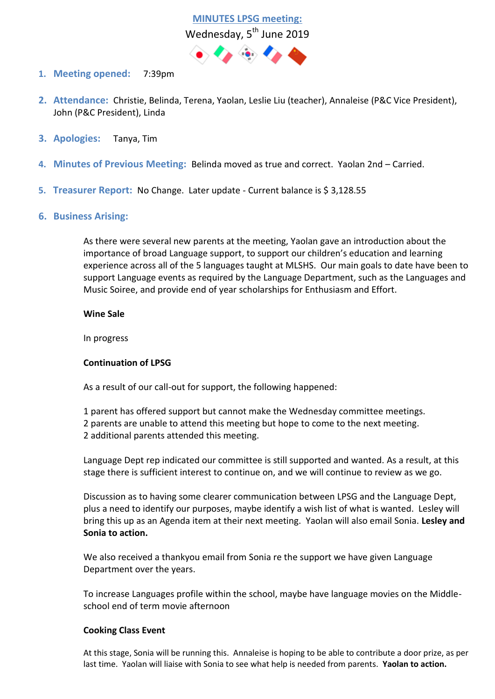**MINUTES LPSG meeting:**  Wednesday, 5<sup>th</sup> June 2019



- **1. Meeting opened:** 7:39pm
- **2. Attendance:** Christie, Belinda, Terena, Yaolan, Leslie Liu (teacher), Annaleise (P&C Vice President), John (P&C President), Linda
- **3. Apologies:** Tanya, Tim
- **4. Minutes of Previous Meeting:** Belinda moved as true and correct. Yaolan 2nd Carried.
- **5. Treasurer Report:** No Change. Later update Current balance is \$ 3,128.55
- **6. Business Arising:**

As there were several new parents at the meeting, Yaolan gave an introduction about the importance of broad Language support, to support our children's education and learning experience across all of the 5 languages taught at MLSHS. Our main goals to date have been to support Language events as required by the Language Department, such as the Languages and Music Soiree, and provide end of year scholarships for Enthusiasm and Effort.

## **Wine Sale**

In progress

## **Continuation of LPSG**

As a result of our call-out for support, the following happened:

1 parent has offered support but cannot make the Wednesday committee meetings. 2 parents are unable to attend this meeting but hope to come to the next meeting.

2 additional parents attended this meeting.

Language Dept rep indicated our committee is still supported and wanted. As a result, at this stage there is sufficient interest to continue on, and we will continue to review as we go.

Discussion as to having some clearer communication between LPSG and the Language Dept, plus a need to identify our purposes, maybe identify a wish list of what is wanted. Lesley will bring this up as an Agenda item at their next meeting. Yaolan will also email Sonia. **Lesley and Sonia to action.**

We also received a thankyou email from Sonia re the support we have given Language Department over the years.

To increase Languages profile within the school, maybe have language movies on the Middleschool end of term movie afternoon

## **Cooking Class Event**

At this stage, Sonia will be running this. Annaleise is hoping to be able to contribute a door prize, as per last time. Yaolan will liaise with Sonia to see what help is needed from parents. **Yaolan to action.**